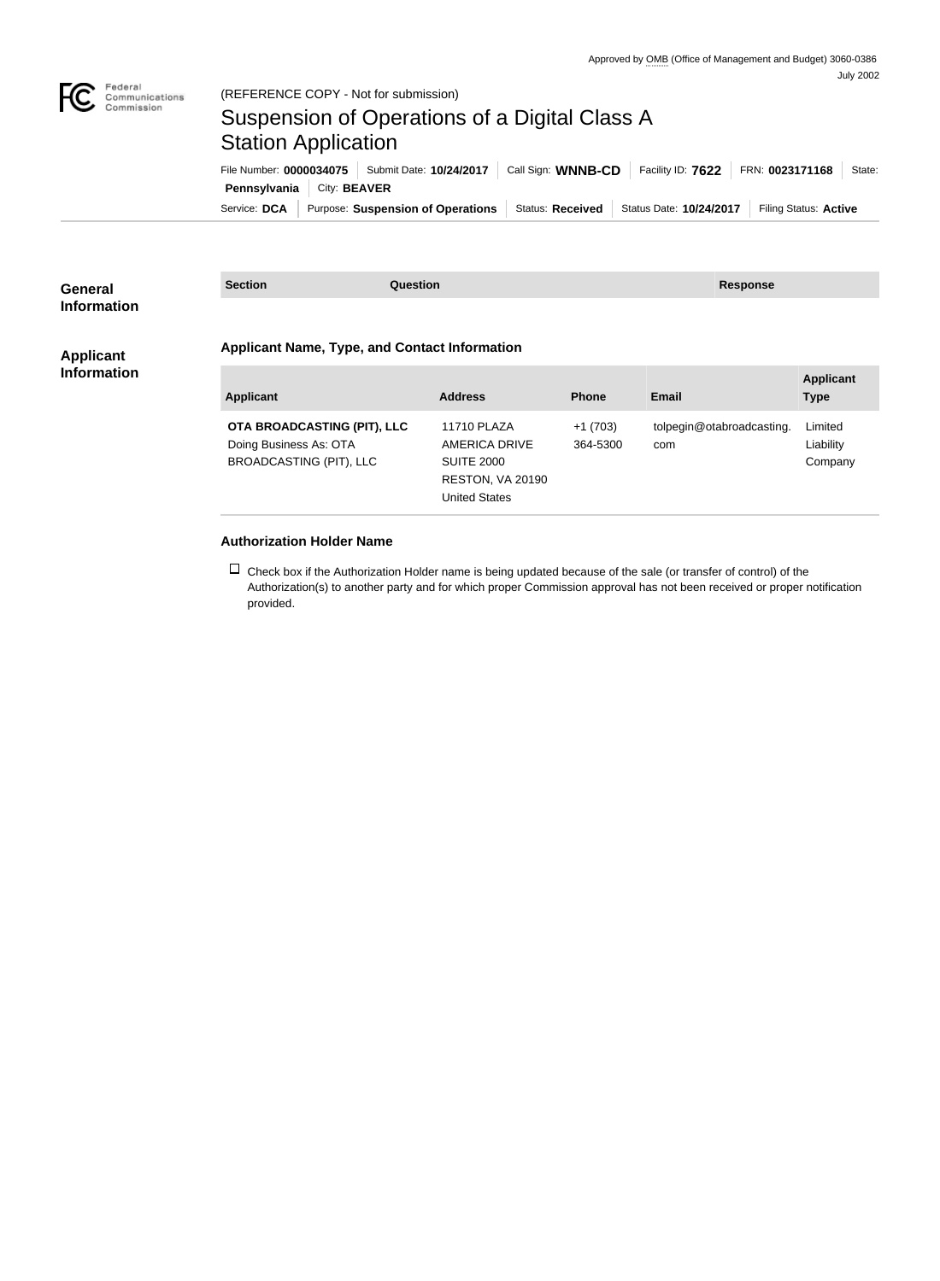

## Suspension of Operations of a Digital Class A Station Application

Service: DCA Purpose: Suspension of Operations Status: Received Status Date: 10/24/2017 Filing Status: Active **Pennsylvania City: BEAVER** File Number: **0000034075** Submit Date: **10/24/2017** Call Sign: **WNNB-CD** Facility ID: **7622** FRN: **0023171168** State:

| <b>General</b><br><b>Information</b>   | <b>Section</b><br><b>Question</b>                                                       |  |                                                                                                             | <b>Response</b>       |                                  |                                 |
|----------------------------------------|-----------------------------------------------------------------------------------------|--|-------------------------------------------------------------------------------------------------------------|-----------------------|----------------------------------|---------------------------------|
|                                        | <b>Applicant Name, Type, and Contact Information</b>                                    |  |                                                                                                             |                       |                                  |                                 |
| <b>Applicant</b><br><b>Information</b> | <b>Applicant</b>                                                                        |  | <b>Address</b>                                                                                              | <b>Phone</b>          | <b>Email</b>                     | <b>Applicant</b><br><b>Type</b> |
|                                        | OTA BROADCASTING (PIT), LLC<br>Doing Business As: OTA<br><b>BROADCASTING (PIT), LLC</b> |  | <b>11710 PLAZA</b><br><b>AMERICA DRIVE</b><br><b>SUITE 2000</b><br>RESTON, VA 20190<br><b>United States</b> | $+1(703)$<br>364-5300 | tolpegin@otabroadcasting.<br>com | Limited<br>Liability<br>Company |

## **Authorization Holder Name**

 $\Box$  Check box if the Authorization Holder name is being updated because of the sale (or transfer of control) of the Authorization(s) to another party and for which proper Commission approval has not been received or proper notification provided.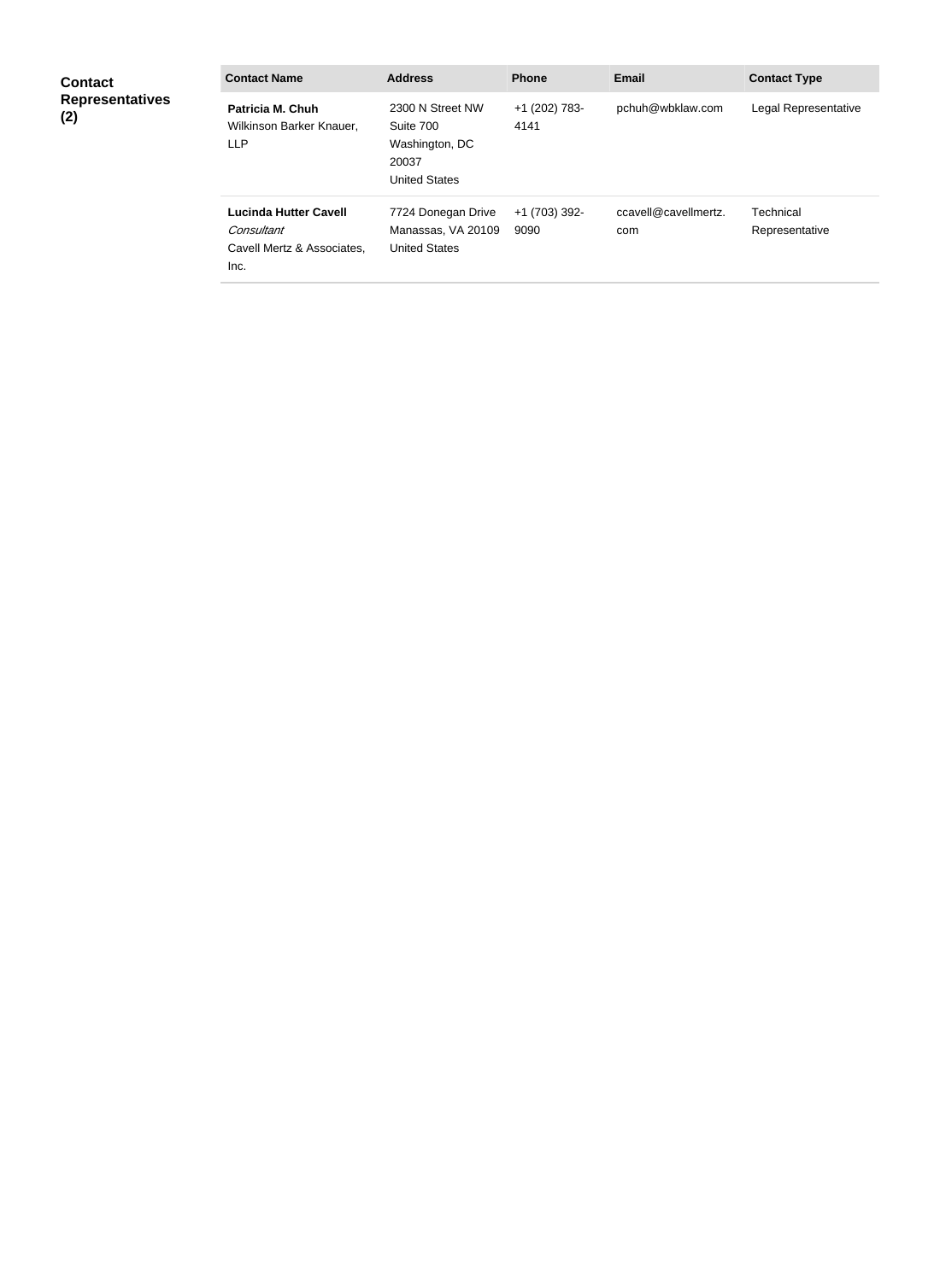| <b>Contact</b><br><b>Representatives</b><br>(2) | <b>Contact Name</b>                                                              | <b>Address</b>                                                                   | <b>Phone</b>          | <b>Email</b>                | <b>Contact Type</b>         |
|-------------------------------------------------|----------------------------------------------------------------------------------|----------------------------------------------------------------------------------|-----------------------|-----------------------------|-----------------------------|
|                                                 | Patricia M. Chuh<br>Wilkinson Barker Knauer,<br><b>LLP</b>                       | 2300 N Street NW<br>Suite 700<br>Washington, DC<br>20037<br><b>United States</b> | +1 (202) 783-<br>4141 | pchuh@wbklaw.com            | Legal Representative        |
|                                                 | <b>Lucinda Hutter Cavell</b><br>Consultant<br>Cavell Mertz & Associates.<br>Inc. | 7724 Donegan Drive<br>Manassas, VA 20109<br><b>United States</b>                 | +1 (703) 392-<br>9090 | ccavell@cavellmertz.<br>com | Technical<br>Representative |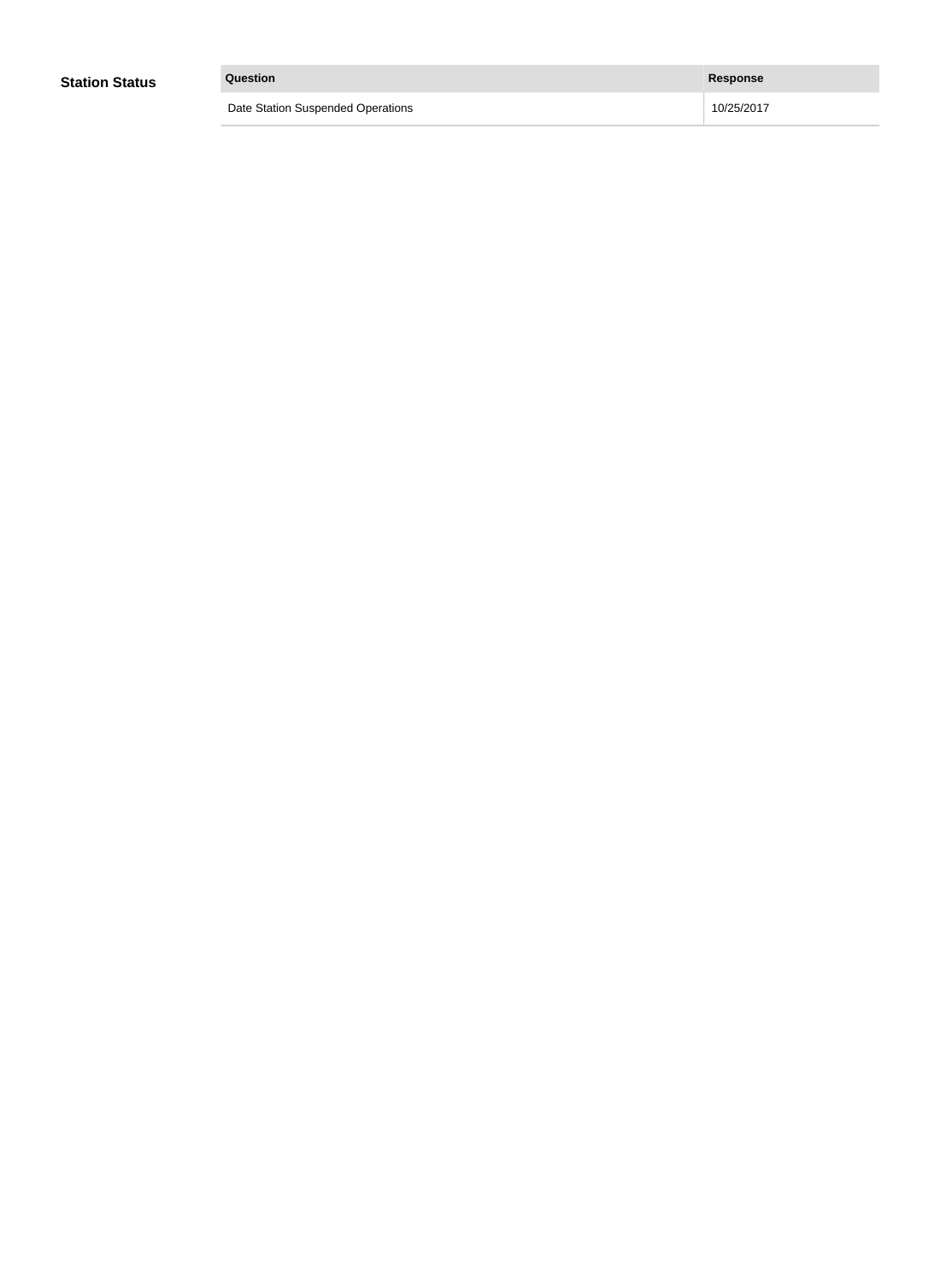| <b>Station Status</b> | Question                          | Response   |
|-----------------------|-----------------------------------|------------|
|                       | Date Station Suspended Operations | 10/25/2017 |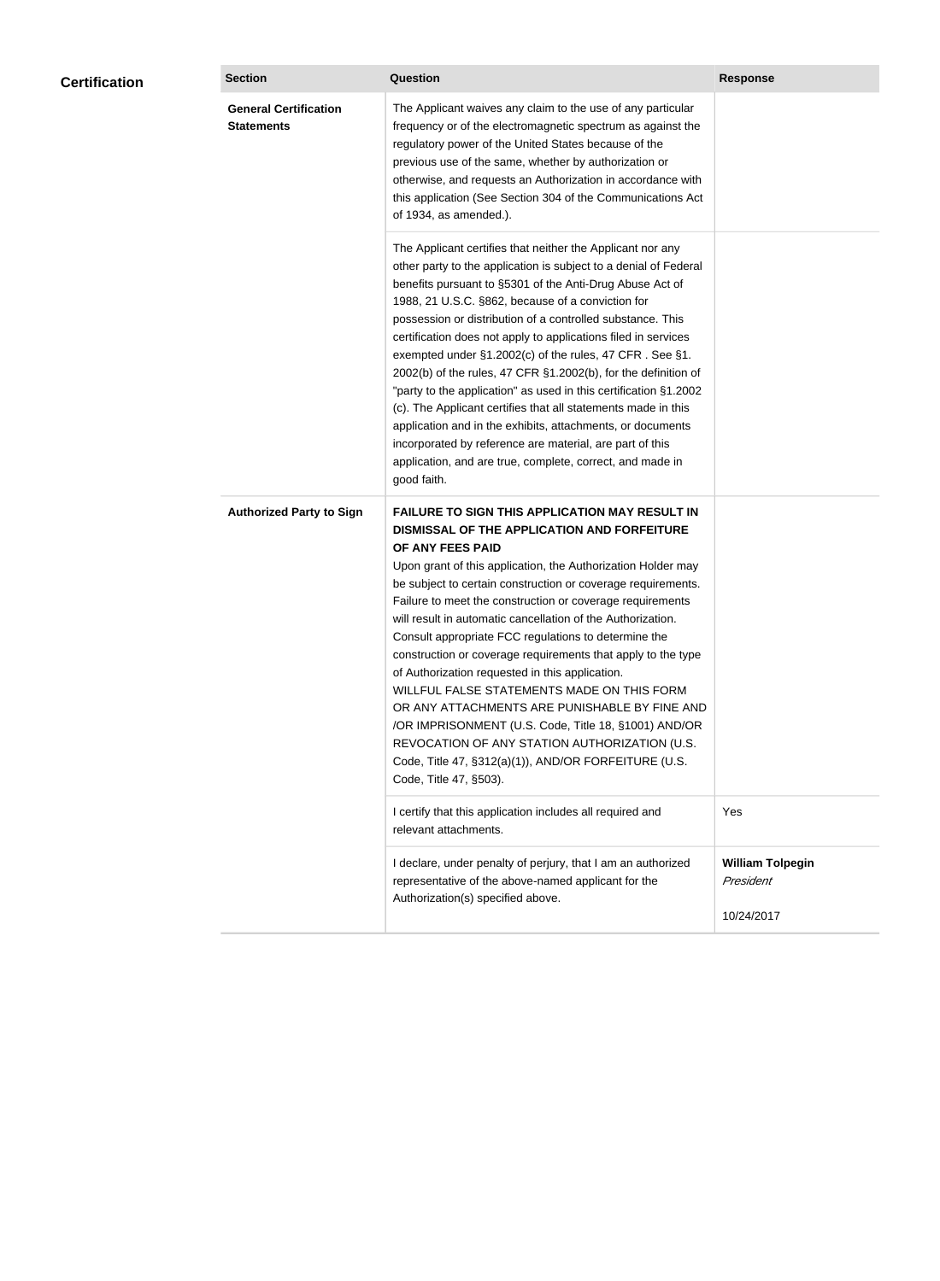|  |                                                   |                                                                                                                                                                                                                                                                                                                                                                                                                                                                                                                                                                                                                                                                                                                                                                                                                                                           | <b>Response</b>                                    |
|--|---------------------------------------------------|-----------------------------------------------------------------------------------------------------------------------------------------------------------------------------------------------------------------------------------------------------------------------------------------------------------------------------------------------------------------------------------------------------------------------------------------------------------------------------------------------------------------------------------------------------------------------------------------------------------------------------------------------------------------------------------------------------------------------------------------------------------------------------------------------------------------------------------------------------------|----------------------------------------------------|
|  | <b>General Certification</b><br><b>Statements</b> | The Applicant waives any claim to the use of any particular<br>frequency or of the electromagnetic spectrum as against the<br>regulatory power of the United States because of the<br>previous use of the same, whether by authorization or<br>otherwise, and requests an Authorization in accordance with<br>this application (See Section 304 of the Communications Act<br>of 1934, as amended.).                                                                                                                                                                                                                                                                                                                                                                                                                                                       |                                                    |
|  |                                                   | The Applicant certifies that neither the Applicant nor any<br>other party to the application is subject to a denial of Federal<br>benefits pursuant to §5301 of the Anti-Drug Abuse Act of<br>1988, 21 U.S.C. §862, because of a conviction for<br>possession or distribution of a controlled substance. This<br>certification does not apply to applications filed in services<br>exempted under §1.2002(c) of the rules, 47 CFR. See §1.<br>2002(b) of the rules, 47 CFR §1.2002(b), for the definition of<br>"party to the application" as used in this certification §1.2002<br>(c). The Applicant certifies that all statements made in this<br>application and in the exhibits, attachments, or documents<br>incorporated by reference are material, are part of this<br>application, and are true, complete, correct, and made in<br>good faith.   |                                                    |
|  | <b>Authorized Party to Sign</b>                   | <b>FAILURE TO SIGN THIS APPLICATION MAY RESULT IN</b><br>DISMISSAL OF THE APPLICATION AND FORFEITURE<br>OF ANY FEES PAID<br>Upon grant of this application, the Authorization Holder may<br>be subject to certain construction or coverage requirements.<br>Failure to meet the construction or coverage requirements<br>will result in automatic cancellation of the Authorization.<br>Consult appropriate FCC regulations to determine the<br>construction or coverage requirements that apply to the type<br>of Authorization requested in this application.<br>WILLFUL FALSE STATEMENTS MADE ON THIS FORM<br>OR ANY ATTACHMENTS ARE PUNISHABLE BY FINE AND<br>/OR IMPRISONMENT (U.S. Code, Title 18, §1001) AND/OR<br>REVOCATION OF ANY STATION AUTHORIZATION (U.S.<br>Code, Title 47, §312(a)(1)), AND/OR FORFEITURE (U.S.<br>Code, Title 47, §503). |                                                    |
|  |                                                   | I certify that this application includes all required and<br>relevant attachments.                                                                                                                                                                                                                                                                                                                                                                                                                                                                                                                                                                                                                                                                                                                                                                        | Yes                                                |
|  |                                                   | I declare, under penalty of perjury, that I am an authorized<br>representative of the above-named applicant for the<br>Authorization(s) specified above.                                                                                                                                                                                                                                                                                                                                                                                                                                                                                                                                                                                                                                                                                                  | <b>William Tolpegin</b><br>President<br>10/24/2017 |